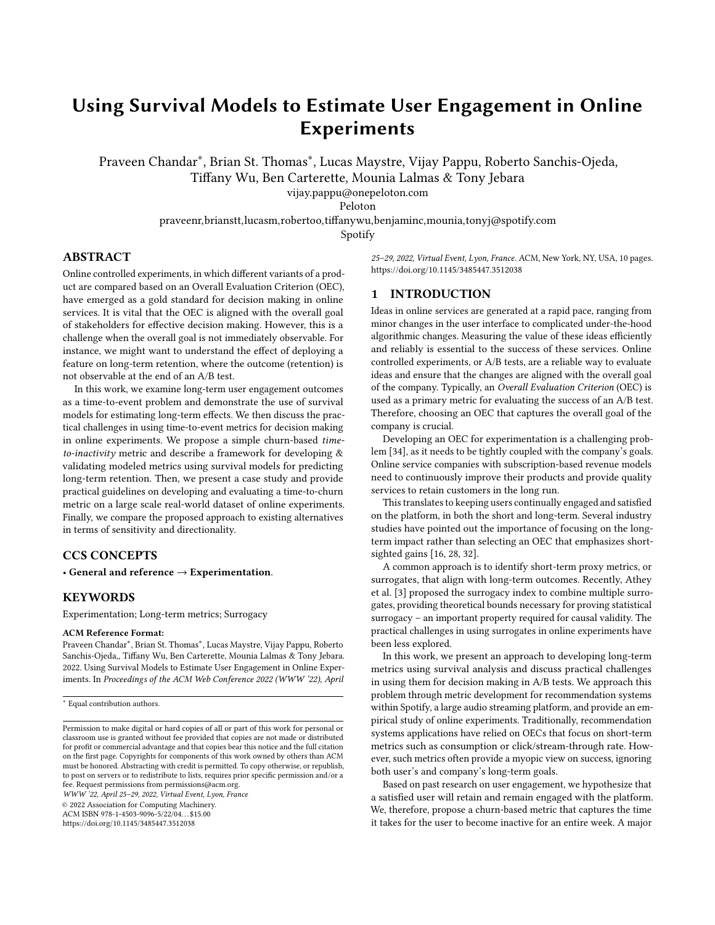# Using Survival Models to Estimate User Engagement in Online Experiments

Praveen Chandar<sup>∗</sup> , Brian St. Thomas<sup>∗</sup> , Lucas Maystre, Vijay Pappu, Roberto Sanchis-Ojeda, Tiffany Wu, Ben Carterette, Mounia Lalmas & Tony Jebara

vijay.pappu@onepeloton.com

Peloton

praveenr,brianstt,lucasm,robertoo,tiffanywu,benjaminc,mounia,tonyj@spotify.com

Spotify

# ABSTRACT

Online controlled experiments, in which different variants of a product are compared based on an Overall Evaluation Criterion (OEC), have emerged as a gold standard for decision making in online services. It is vital that the OEC is aligned with the overall goal of stakeholders for effective decision making. However, this is a challenge when the overall goal is not immediately observable. For instance, we might want to understand the effect of deploying a feature on long-term retention, where the outcome (retention) is not observable at the end of an A/B test.

In this work, we examine long-term user engagement outcomes as a time-to-event problem and demonstrate the use of survival models for estimating long-term effects. We then discuss the practical challenges in using time-to-event metrics for decision making in online experiments. We propose a simple churn-based timeto-inactivity metric and describe a framework for developing & validating modeled metrics using survival models for predicting long-term retention. Then, we present a case study and provide practical guidelines on developing and evaluating a time-to-churn metric on a large scale real-world dataset of online experiments. Finally, we compare the proposed approach to existing alternatives in terms of sensitivity and directionality.

# CCS CONCEPTS

• General and reference  $\rightarrow$  Experimentation.

## **KEYWORDS**

Experimentation; Long-term metrics; Surrogacy

#### ACM Reference Format:

Praveen Chandar<sup>∗</sup> , Brian St. Thomas<sup>∗</sup> , Lucas Maystre, Vijay Pappu, Roberto Sanchis-Ojeda,, Tiffany Wu, Ben Carterette, Mounia Lalmas & Tony Jebara. 2022. Using Survival Models to Estimate User Engagement in Online Experiments. In Proceedings of the ACM Web Conference 2022 (WWW '22), April

<sup>∗</sup> Equal contribution authors.

WWW '22, April 25–29, 2022, Virtual Event, Lyon, France

© 2022 Association for Computing Machinery. ACM ISBN 978-1-4503-9096-5/22/04. . . \$15.00

<https://doi.org/10.1145/3485447.3512038>

25–29, 2022, Virtual Event, Lyon, France. ACM, New York, NY, USA, [10](#page-9-0) pages. <https://doi.org/10.1145/3485447.3512038>

#### 1 INTRODUCTION

Ideas in online services are generated at a rapid pace, ranging from minor changes in the user interface to complicated under-the-hood algorithmic changes. Measuring the value of these ideas efficiently and reliably is essential to the success of these services. Online controlled experiments, or A/B tests, are a reliable way to evaluate ideas and ensure that the changes are aligned with the overall goal of the company. Typically, an Overall Evaluation Criterion (OEC) is used as a primary metric for evaluating the success of an A/B test. Therefore, choosing an OEC that captures the overall goal of the company is crucial.

Developing an OEC for experimentation is a challenging problem [\[34\]](#page-8-0), as it needs to be tightly coupled with the company's goals. Online service companies with subscription-based revenue models need to continuously improve their products and provide quality services to retain customers in the long run.

This translates to keeping users continually engaged and satisfied on the platform, in both the short and long-term. Several industry studies have pointed out the importance of focusing on the longterm impact rather than selecting an OEC that emphasizes shortsighted gains [\[16,](#page-8-1) [28,](#page-8-2) [32\]](#page-8-3).

A common approach is to identify short-term proxy metrics, or surrogates, that align with long-term outcomes. Recently, Athey et al. [\[3\]](#page-8-4) proposed the surrogacy index to combine multiple surrogates, providing theoretical bounds necessary for proving statistical surrogacy – an important property required for causal validity. The practical challenges in using surrogates in online experiments have been less explored.

In this work, we present an approach to developing long-term metrics using survival analysis and discuss practical challenges in using them for decision making in A/B tests. We approach this problem through metric development for recommendation systems within Spotify, a large audio streaming platform, and provide an empirical study of online experiments. Traditionally, recommendation systems applications have relied on OECs that focus on short-term metrics such as consumption or click/stream-through rate. However, such metrics often provide a myopic view on success, ignoring both user's and company's long-term goals.

Based on past research on user engagement, we hypothesize that a satisfied user will retain and remain engaged with the platform. We, therefore, propose a churn-based metric that captures the time it takes for the user to become inactive for an entire week. A major

Permission to make digital or hard copies of all or part of this work for personal or classroom use is granted without fee provided that copies are not made or distributed for profit or commercial advantage and that copies bear this notice and the full citation on the first page. Copyrights for components of this work owned by others than ACM must be honored. Abstracting with credit is permitted. To copy otherwise, or republish, to post on servers or to redistribute to lists, requires prior specific permission and/or a fee. Request permissions from permissions@acm.org.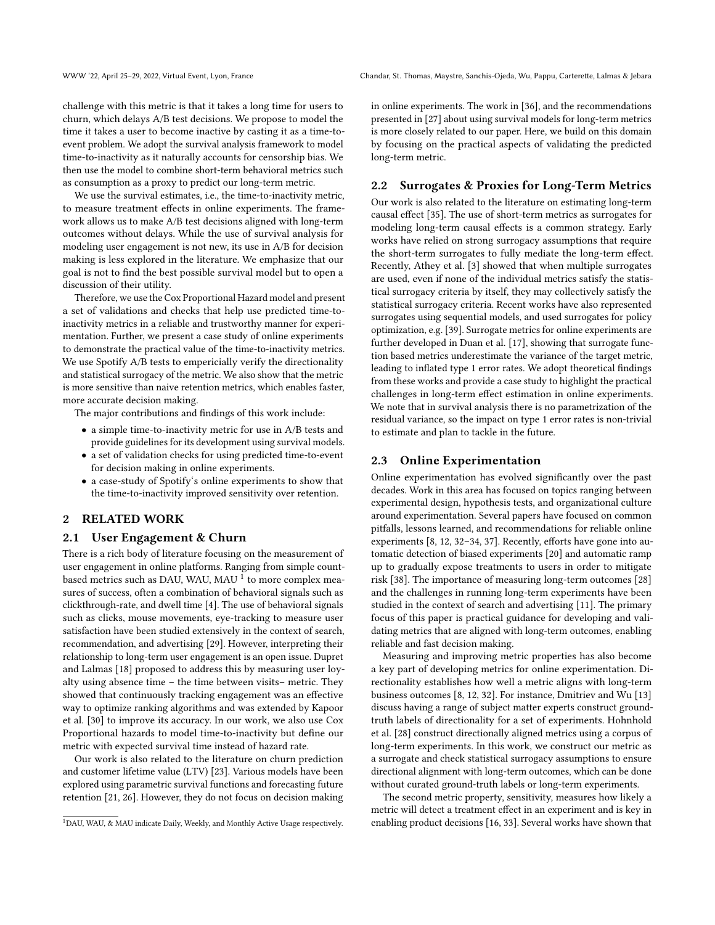WWW '22, April 25–29, 2022, Virtual Event, Lyon, France Chandar, St. Thomas, Maystre, Sanchis-Ojeda, Wu, Pappu, Carterette, Lalmas & Jebara

challenge with this metric is that it takes a long time for users to churn, which delays A/B test decisions. We propose to model the time it takes a user to become inactive by casting it as a time-toevent problem. We adopt the survival analysis framework to model time-to-inactivity as it naturally accounts for censorship bias. We then use the model to combine short-term behavioral metrics such as consumption as a proxy to predict our long-term metric.

We use the survival estimates, i.e., the time-to-inactivity metric, to measure treatment effects in online experiments. The framework allows us to make A/B test decisions aligned with long-term outcomes without delays. While the use of survival analysis for modeling user engagement is not new, its use in A/B for decision making is less explored in the literature. We emphasize that our goal is not to find the best possible survival model but to open a discussion of their utility.

Therefore, we use the Cox Proportional Hazard model and present a set of validations and checks that help use predicted time-toinactivity metrics in a reliable and trustworthy manner for experimentation. Further, we present a case study of online experiments to demonstrate the practical value of the time-to-inactivity metrics. We use Spotify A/B tests to empericially verify the directionality and statistical surrogacy of the metric. We also show that the metric is more sensitive than naive retention metrics, which enables faster, more accurate decision making.

The major contributions and findings of this work include:

- a simple time-to-inactivity metric for use in A/B tests and provide guidelines for its development using survival models.
- a set of validation checks for using predicted time-to-event for decision making in online experiments.
- a case-study of Spotify's online experiments to show that the time-to-inactivity improved sensitivity over retention.

## 2 RELATED WORK

#### 2.1 User Engagement & Churn

There is a rich body of literature focusing on the measurement of user engagement in online platforms. Ranging from simple countbased metrics such as DAU, WAU, MAU  $^1$  $^1$  to more complex measures of success, often a combination of behavioral signals such as clickthrough-rate, and dwell time [\[4\]](#page-8-5). The use of behavioral signals such as clicks, mouse movements, eye-tracking to measure user satisfaction have been studied extensively in the context of search, recommendation, and advertising [\[29\]](#page-8-6). However, interpreting their relationship to long-term user engagement is an open issue. Dupret and Lalmas [\[18\]](#page-8-7) proposed to address this by measuring user loyalty using absence time – the time between visits– metric. They showed that continuously tracking engagement was an effective way to optimize ranking algorithms and was extended by Kapoor et al. [\[30\]](#page-8-8) to improve its accuracy. In our work, we also use Cox Proportional hazards to model time-to-inactivity but define our metric with expected survival time instead of hazard rate.

Our work is also related to the literature on churn prediction and customer lifetime value (LTV) [\[23\]](#page-8-9). Various models have been explored using parametric survival functions and forecasting future retention [\[21,](#page-8-10) [26\]](#page-8-11). However, they do not focus on decision making in online experiments. The work in [\[36\]](#page-8-12), and the recommendations presented in [\[27\]](#page-8-13) about using survival models for long-term metrics is more closely related to our paper. Here, we build on this domain by focusing on the practical aspects of validating the predicted long-term metric.

## 2.2 Surrogates & Proxies for Long-Term Metrics

Our work is also related to the literature on estimating long-term causal effect [\[35\]](#page-8-14). The use of short-term metrics as surrogates for modeling long-term causal effects is a common strategy. Early works have relied on strong surrogacy assumptions that require the short-term surrogates to fully mediate the long-term effect. Recently, Athey et al. [\[3\]](#page-8-4) showed that when multiple surrogates are used, even if none of the individual metrics satisfy the statistical surrogacy criteria by itself, they may collectively satisfy the statistical surrogacy criteria. Recent works have also represented surrogates using sequential models, and used surrogates for policy optimization, e.g. [\[39\]](#page-8-15). Surrogate metrics for online experiments are further developed in Duan et al. [\[17\]](#page-8-16), showing that surrogate function based metrics underestimate the variance of the target metric, leading to inflated type 1 error rates. We adopt theoretical findings from these works and provide a case study to highlight the practical challenges in long-term effect estimation in online experiments. We note that in survival analysis there is no parametrization of the residual variance, so the impact on type 1 error rates is non-trivial to estimate and plan to tackle in the future.

### 2.3 Online Experimentation

Online experimentation has evolved significantly over the past decades. Work in this area has focused on topics ranging between experimental design, hypothesis tests, and organizational culture around experimentation. Several papers have focused on common pitfalls, lessons learned, and recommendations for reliable online experiments [\[8,](#page-8-17) [12,](#page-8-18) [32–](#page-8-3)[34,](#page-8-0) [37\]](#page-8-19). Recently, efforts have gone into automatic detection of biased experiments [\[20\]](#page-8-20) and automatic ramp up to gradually expose treatments to users in order to mitigate risk [\[38\]](#page-8-21). The importance of measuring long-term outcomes [\[28\]](#page-8-2) and the challenges in running long-term experiments have been studied in the context of search and advertising [\[11\]](#page-8-22). The primary focus of this paper is practical guidance for developing and validating metrics that are aligned with long-term outcomes, enabling reliable and fast decision making.

Measuring and improving metric properties has also become a key part of developing metrics for online experimentation. Directionality establishes how well a metric aligns with long-term business outcomes [\[8,](#page-8-17) [12,](#page-8-18) [32\]](#page-8-3). For instance, Dmitriev and Wu [\[13\]](#page-8-23) discuss having a range of subject matter experts construct groundtruth labels of directionality for a set of experiments. Hohnhold et al. [\[28\]](#page-8-2) construct directionally aligned metrics using a corpus of long-term experiments. In this work, we construct our metric as a surrogate and check statistical surrogacy assumptions to ensure directional alignment with long-term outcomes, which can be done without curated ground-truth labels or long-term experiments.

The second metric property, sensitivity, measures how likely a metric will detect a treatment effect in an experiment and is key in enabling product decisions [\[16,](#page-8-1) [33\]](#page-8-24). Several works have shown that

<span id="page-1-0"></span><sup>1</sup>DAU, WAU, & MAU indicate Daily, Weekly, and Monthly Active Usage respectively.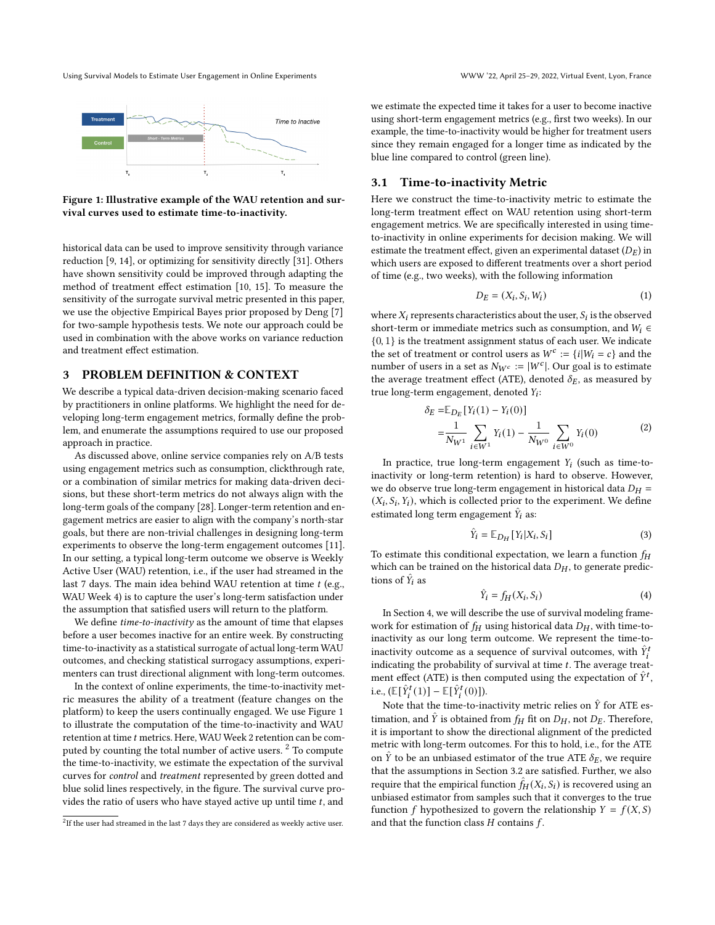Using Survival Models to Estimate User Engagement in Online Experiments WWW '22, April 25–29, 2022, Virtual Event, Lyon, France

<span id="page-2-0"></span>

Figure 1: Illustrative example of the WAU retention and survival curves used to estimate time-to-inactivity.

historical data can be used to improve sensitivity through variance reduction [\[9,](#page-8-25) [14\]](#page-8-26), or optimizing for sensitivity directly [\[31\]](#page-8-27). Others have shown sensitivity could be improved through adapting the method of treatment effect estimation [\[10,](#page-8-28) [15\]](#page-8-29). To measure the sensitivity of the surrogate survival metric presented in this paper, we use the objective Empirical Bayes prior proposed by Deng [\[7\]](#page-8-30) for two-sample hypothesis tests. We note our approach could be used in combination with the above works on variance reduction and treatment effect estimation.

#### 3 PROBLEM DEFINITION & CONTEXT

We describe a typical data-driven decision-making scenario faced by practitioners in online platforms. We highlight the need for developing long-term engagement metrics, formally define the problem, and enumerate the assumptions required to use our proposed approach in practice.

As discussed above, online service companies rely on A/B tests using engagement metrics such as consumption, clickthrough rate, or a combination of similar metrics for making data-driven decisions, but these short-term metrics do not always align with the long-term goals of the company [\[28\]](#page-8-2). Longer-term retention and engagement metrics are easier to align with the company's north-star goals, but there are non-trivial challenges in designing long-term experiments to observe the long-term engagement outcomes [\[11\]](#page-8-22). In our setting, a typical long-term outcome we observe is Weekly Active User (WAU) retention, i.e., if the user had streamed in the last 7 days. The main idea behind WAU retention at time  $t$  (e.g., WAU Week 4) is to capture the user's long-term satisfaction under the assumption that satisfied users will return to the platform.

We define time-to-inactivity as the amount of time that elapses before a user becomes inactive for an entire week. By constructing time-to-inactivity as a statistical surrogate of actual long-term WAU outcomes, and checking statistical surrogacy assumptions, experimenters can trust directional alignment with long-term outcomes.

In the context of online experiments, the time-to-inactivity metric measures the ability of a treatment (feature changes on the platform) to keep the users continually engaged. We use Figure [1](#page-2-0) to illustrate the computation of the time-to-inactivity and WAU retention at time t metrics. Here, WAU Week 2 retention can be com-puted by counting the total number of active users. <sup>[2](#page-2-1)</sup> To compute the time-to-inactivity, we estimate the expectation of the survival curves for control and treatment represented by green dotted and blue solid lines respectively, in the figure. The survival curve provides the ratio of users who have stayed active up until time  $t$ , and

we estimate the expected time it takes for a user to become inactive using short-term engagement metrics (e.g., first two weeks). In our example, the time-to-inactivity would be higher for treatment users since they remain engaged for a longer time as indicated by the blue line compared to control (green line).

#### 3.1 Time-to-inactivity Metric

Here we construct the time-to-inactivity metric to estimate the long-term treatment effect on WAU retention using short-term engagement metrics. We are specifically interested in using timeto-inactivity in online experiments for decision making. We will estimate the treatment effect, given an experimental dataset  $(D_E)$  in which users are exposed to different treatments over a short period of time (e.g., two weeks), with the following information

$$
D_E = (X_i, S_i, W_i) \tag{1}
$$

where  $X_i$  represents characteristics about the user,  $S_i$  is the observed short-term or immediate metrics such as consumption, and  $W_i \in$  $\{0, 1\}$  is the treatment assignment status of each user. We indicate the set of treatment or control users as  $W^c := \{i | W_i = c\}$  and the number of users in a set as  $N_{W^c} := |W^c|$ . Our goal is to estimate the average treatment effect (ATE), denoted  $\delta_E$ , as measured by true long-term engagement, denoted  $Y_i$ :

$$
\delta_E = \mathbb{E}_{D_E} [Y_i(1) - Y_i(0)]
$$
  
=  $\frac{1}{N_{W^1}} \sum_{i \in W^1} Y_i(1) - \frac{1}{N_{W^0}} \sum_{i \in W^0} Y_i(0)$  (2)

In practice, true long-term engagement  $Y_i$  (such as time-toinactivity or long-term retention) is hard to observe. However, we do observe true long-term engagement in historical data  $D_H$  =  $(X_i, S_i, Y_i)$ , which is collected prior to the experiment. We define estimated long term engagement  $\hat{Y}_i$  as:

$$
\hat{Y}_i = \mathbb{E}_{D_H}[Y_i | X_i, S_i]
$$
\n(3)

To estimate this conditional expectation, we learn a function  $f<sub>H</sub>$ which can be trained on the historical data  $D<sub>H</sub>$ , to generate predictions of  $\hat{Y}_i$  as

$$
\hat{Y}_i = f_H(X_i, S_i) \tag{4}
$$

In Section [4,](#page-3-0) we will describe the use of survival modeling framework for estimation of  $f_H$  using historical data  $D_H$ , with time-toinactivity as our long term outcome. We represent the time-toinactivity outcome as a sequence of survival outcomes, with  $\hat{Y}_i^t$ indicating the probability of survival at time  $t$ . The average treatment effect (ATE) is then computed using the expectation of  $\hat{Y}^{t}$ , i.e.,  $(\mathbb{E}[\hat{Y}_{i}^{t}(1)] - \mathbb{E}[\hat{Y}_{i}^{t}(0)]).$ 

Note that the time-to-inactivity metric relies on  $\hat{Y}$  for ATE estimation, and  $\hat{Y}$  is obtained from  $f_H$  fit on  $D_H$ , not  $D_E$ . Therefore, it is important to show the directional alignment of the predicted metric with long-term outcomes. For this to hold, i.e., for the ATE on  $\tilde{Y}$  to be an unbiased estimator of the true ATE  $\delta_E$ , we require that the assumptions in Section [3.2](#page-3-1) are satisfied. Further, we also require that the empirical function  $\hat{f}_H(X_i, S_i)$  is recovered using an unbiased estimator from samples such that it converges to the true function f hypothesized to govern the relationship  $Y = f(X, S)$ and that the function class  $H$  contains  $f$ .

<span id="page-2-1"></span> $^{2}$ If the user had streamed in the last 7 days they are considered as weekly active user.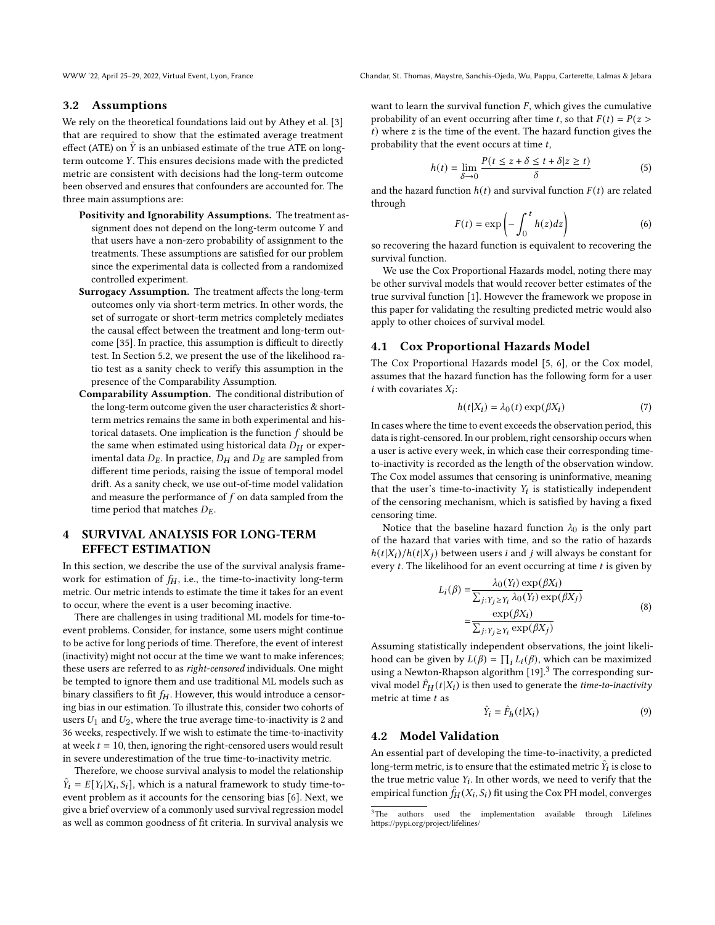WWW '22, April 25–29, 2022, Virtual Event, Lyon, France Chandar, St. Thomas, Maystre, Sanchis-Ojeda, Wu, Pappu, Carterette, Lalmas & Jebara

#### <span id="page-3-1"></span>3.2 Assumptions

We rely on the theoretical foundations laid out by Athey et al. [\[3\]](#page-8-4) that are required to show that the estimated average treatment effect (ATE) on  $\hat{Y}$  is an unbiased estimate of the true ATE on longterm outcome Y. This ensures decisions made with the predicted metric are consistent with decisions had the long-term outcome been observed and ensures that confounders are accounted for. The three main assumptions are:

- Positivity and Ignorability Assumptions. The treatment assignment does not depend on the long-term outcome  $Y$  and that users have a non-zero probability of assignment to the treatments. These assumptions are satisfied for our problem since the experimental data is collected from a randomized controlled experiment.
- Surrogacy Assumption. The treatment affects the long-term outcomes only via short-term metrics. In other words, the set of surrogate or short-term metrics completely mediates the causal effect between the treatment and long-term outcome [\[35\]](#page-8-14). In practice, this assumption is difficult to directly test. In Section [5.2,](#page-4-0) we present the use of the likelihood ratio test as a sanity check to verify this assumption in the presence of the Comparability Assumption.
- Comparability Assumption. The conditional distribution of the long-term outcome given the user characteristics & shortterm metrics remains the same in both experimental and historical datasets. One implication is the function  $f$  should be the same when estimated using historical data  $D_H$  or experimental data  $D_F$ . In practice,  $D_H$  and  $D_F$  are sampled from different time periods, raising the issue of temporal model drift. As a sanity check, we use out-of-time model validation and measure the performance of  $f$  on data sampled from the time period that matches  $D_E$ .

# <span id="page-3-0"></span>4 SURVIVAL ANALYSIS FOR LONG-TERM EFFECT ESTIMATION

In this section, we describe the use of the survival analysis framework for estimation of  $f_H$ , i.e., the time-to-inactivity long-term metric. Our metric intends to estimate the time it takes for an event to occur, where the event is a user becoming inactive.

There are challenges in using traditional ML models for time-toevent problems. Consider, for instance, some users might continue to be active for long periods of time. Therefore, the event of interest (inactivity) might not occur at the time we want to make inferences; these users are referred to as right-censored individuals. One might be tempted to ignore them and use traditional ML models such as binary classifiers to fit  $f_H$ . However, this would introduce a censoring bias in our estimation. To illustrate this, consider two cohorts of users  $U_1$  and  $U_2$ , where the true average time-to-inactivity is 2 and 36 weeks, respectively. If we wish to estimate the time-to-inactivity at week  $t = 10$ , then, ignoring the right-censored users would result in severe underestimation of the true time-to-inactivity metric.

Therefore, we choose survival analysis to model the relationship  $\hat{Y}_i = E[Y_i | X_i, S_i]$ , which is a natural framework to study time-toevent problem as it accounts for the censoring bias [\[6\]](#page-8-31). Next, we give a brief overview of a commonly used survival regression model as well as common goodness of fit criteria. In survival analysis we

want to learn the survival function  $F$ , which gives the cumulative probability of an event occurring after time t, so that  $F(t) = P(z >$  $t$ ) where  $z$  is the time of the event. The hazard function gives the probability that the event occurs at time  $t$ ,

$$
h(t) = \lim_{\delta \to 0} \frac{P(t \le z + \delta \le t + \delta | z \ge t)}{\delta}
$$
 (5)

and the hazard function  $h(t)$  and survival function  $F(t)$  are related through

$$
F(t) = \exp\left(-\int_0^t h(z)dz\right) \tag{6}
$$

so recovering the hazard function is equivalent to recovering the survival function.

We use the Cox Proportional Hazards model, noting there may be other survival models that would recover better estimates of the true survival function [\[1\]](#page-8-32). However the framework we propose in this paper for validating the resulting predicted metric would also apply to other choices of survival model.

#### 4.1 Cox Proportional Hazards Model

The Cox Proportional Hazards model [\[5,](#page-8-33) [6\]](#page-8-31), or the Cox model, assumes that the hazard function has the following form for a user  $i$  with covariates  $X_i$ :

$$
h(t|X_i) = \lambda_0(t) \exp(\beta X_i)
$$
 (7)

In cases where the time to event exceeds the observation period, this data is right-censored. In our problem, right censorship occurs when a user is active every week, in which case their corresponding timeto-inactivity is recorded as the length of the observation window. The Cox model assumes that censoring is uninformative, meaning that the user's time-to-inactivity  $Y_i$  is statistically independent of the censoring mechanism, which is satisfied by having a fixed censoring time.

Notice that the baseline hazard function  $\lambda_0$  is the only part of the hazard that varies with time, and so the ratio of hazards  $h(t|X_i)/h(t|X_j)$  between users *i* and *j* will always be constant for every  $t$ . The likelihood for an event occurring at time  $t$  is given by

$$
L_i(\beta) = \frac{\lambda_0(Y_i) \exp(\beta X_i)}{\sum_{j: Y_j \ge Y_i} \lambda_0(Y_i) \exp(\beta X_j)}
$$
  
= 
$$
\frac{\exp(\beta X_i)}{\sum_{j: Y_j \ge Y_i} \exp(\beta X_j)}
$$
(8)

Assuming statistically independent observations, the joint likelihood can be given by  $L(\beta) = \prod_i L_i(\beta)$ , which can be maximized using a Newton-Rhapson algorithm [\[19\]](#page-8-34).<sup>[3](#page-3-2)</sup> The corresponding survival model  $\hat{F}_H(t|X_i)$  is then used to generate the time-to-inactivity metric at time  $t$  as

$$
\hat{Y}_i = \hat{F}_h(t|X_i) \tag{9}
$$

#### <span id="page-3-3"></span>4.2 Model Validation

An essential part of developing the time-to-inactivity, a predicted long-term metric, is to ensure that the estimated metric  $\hat{Y}_{{\boldsymbol i}}$  is close to the true metric value  $Y_i$ . In other words, we need to verify that the empirical function  $\hat{f}_H(X_i, \mathcal{S}_i)$  fit using the Cox PH model, converges

<span id="page-3-2"></span> ${}^{3}{\rm The}~$  authors used the implementation available through Lifelines https://pypi.org/project/lifelines/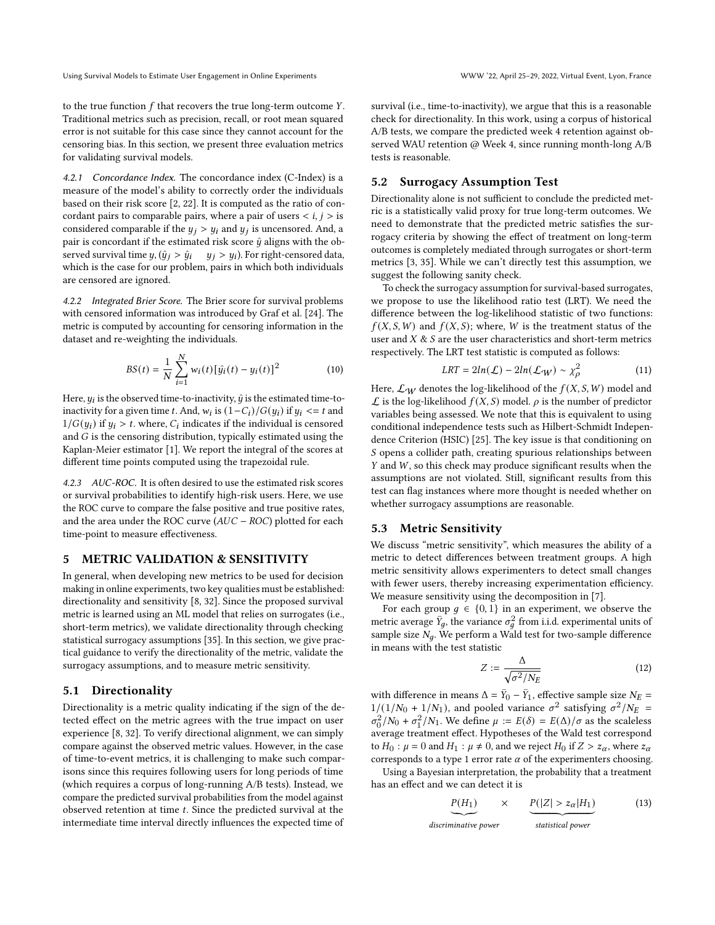to the true function  $f$  that recovers the true long-term outcome  $Y$ . Traditional metrics such as precision, recall, or root mean squared error is not suitable for this case since they cannot account for the censoring bias. In this section, we present three evaluation metrics for validating survival models.

4.2.1 Concordance Index. The concordance index (C-Index) is a measure of the model's ability to correctly order the individuals based on their risk score [\[2,](#page-8-35) [22\]](#page-8-36). It is computed as the ratio of concordant pairs to comparable pairs, where a pair of users  $\langle i, j \rangle$  is considered comparable if the  $y_j > y_i$  and  $y_j$  is uncensored. And, a pair is concordant if the estimated risk score  $\hat{y}$  aligns with the observed survival time  $y$ ,  $(\hat{y}_j > \hat{y}_i - y_j > y_i)$ . For right-censored data, which is the case for our problem, pairs in which both individuals are censored are ignored.

4.2.2 Integrated Brier Score. The Brier score for survival problems with censored information was introduced by Graf et al. [\[24\]](#page-8-37). The metric is computed by accounting for censoring information in the dataset and re-weighting the individuals.

$$
BS(t) = \frac{1}{N} \sum_{i=1}^{N} w_i(t) [\hat{y}_i(t) - y_i(t)]^2
$$
 (10)

Here,  $y_i$  is the observed time-to-inactivity,  $\hat{y}$  is the estimated time-toinactivity for a given time t. And,  $w_i$  is  $(1-C_i)/G(y_i)$  if  $y_i \leq t$  and  $1/G(y_i)$  if  $y_i > t$ . where,  $C_i$  indicates if the individual is censored and  $G$  is the censoring distribution, typically estimated using the Kaplan-Meier estimator [\[1\]](#page-8-32). We report the integral of the scores at different time points computed using the trapezoidal rule.

4.2.3 AUC-ROC. It is often desired to use the estimated risk scores or survival probabilities to identify high-risk users. Here, we use the ROC curve to compare the false positive and true positive rates, and the area under the ROC curve ( $AUC - ROC$ ) plotted for each time-point to measure effectiveness.

## 5 METRIC VALIDATION & SENSITIVITY

In general, when developing new metrics to be used for decision making in online experiments, two key qualities must be established: directionality and sensitivity [\[8,](#page-8-17) [32\]](#page-8-3). Since the proposed survival metric is learned using an ML model that relies on surrogates (i.e., short-term metrics), we validate directionality through checking statistical surrogacy assumptions [\[35\]](#page-8-14). In this section, we give practical guidance to verify the directionality of the metric, validate the surrogacy assumptions, and to measure metric sensitivity.

#### 5.1 Directionality

Directionality is a metric quality indicating if the sign of the detected effect on the metric agrees with the true impact on user experience [\[8,](#page-8-17) [32\]](#page-8-3). To verify directional alignment, we can simply compare against the observed metric values. However, in the case of time-to-event metrics, it is challenging to make such comparisons since this requires following users for long periods of time (which requires a corpus of long-running A/B tests). Instead, we compare the predicted survival probabilities from the model against observed retention at time  $t$ . Since the predicted survival at the intermediate time interval directly influences the expected time of

survival (i.e., time-to-inactivity), we argue that this is a reasonable check for directionality. In this work, using a corpus of historical A/B tests, we compare the predicted week 4 retention against observed WAU retention @ Week 4, since running month-long A/B tests is reasonable.

### <span id="page-4-0"></span>5.2 Surrogacy Assumption Test

Directionality alone is not sufficient to conclude the predicted metric is a statistically valid proxy for true long-term outcomes. We need to demonstrate that the predicted metric satisfies the surrogacy criteria by showing the effect of treatment on long-term outcomes is completely mediated through surrogates or short-term metrics [\[3,](#page-8-4) [35\]](#page-8-14). While we can't directly test this assumption, we suggest the following sanity check.

To check the surrogacy assumption for survival-based surrogates, we propose to use the likelihood ratio test (LRT). We need the difference between the log-likelihood statistic of two functions:  $f(X, S, W)$  and  $f(X, S)$ ; where, W is the treatment status of the user and  $X \& S$  are the user characteristics and short-term metrics respectively. The LRT test statistic is computed as follows:

$$
LRT = 2ln(\mathcal{L}) - 2ln(\mathcal{L}_W) \sim \chi_{\rho}^2 \tag{11}
$$

Here,  $\mathcal{L}_W$  denotes the log-likelihood of the  $f(X, S, W)$  model and  $\mathcal L$  is the log-likelihood  $f(X, S)$  model.  $\rho$  is the number of predictor variables being assessed. We note that this is equivalent to using conditional independence tests such as Hilbert-Schmidt Independence Criterion (HSIC) [\[25\]](#page-8-38). The key issue is that conditioning on S opens a collider path, creating spurious relationships between  $Y$  and  $W$ , so this check may produce significant results when the assumptions are not violated. Still, significant results from this test can flag instances where more thought is needed whether on whether surrogacy assumptions are reasonable.

### <span id="page-4-1"></span>5.3 Metric Sensitivity

We discuss "metric sensitivity", which measures the ability of a metric to detect differences between treatment groups. A high metric sensitivity allows experimenters to detect small changes with fewer users, thereby increasing experimentation efficiency. We measure sensitivity using the decomposition in [\[7\]](#page-8-30).

For each group  $g \in \{0, 1\}$  in an experiment, we observe the metric average  $\bar{Y}_q$ , the variance  $\sigma_q^2$  from i.i.d. experimental units of sample size  $N_a$ . We perform a Wald test for two-sample difference in means with the test statistic

$$
Z := \frac{\Delta}{\sqrt{\sigma^2 / N_E}}\tag{12}
$$

with difference in means  $\Delta = \overline{Y}_0 - \overline{Y}_1$ , effective sample size  $N_E =$  $1/(1/N_0 + 1/N_1)$ , and pooled variance  $\sigma^2$  satisfying  $\sigma^2/N_E$  =  $\sigma_0^2/N_0 + \sigma_1^2/N_1$ . We define  $\mu := E(\delta) = E(\Delta)/\sigma$  as the scaleless average treatment effect. Hypotheses of the Wald test correspond to  $H_0$ :  $\mu = 0$  and  $H_1$ :  $\mu \neq 0$ , and we reject  $H_0$  if  $Z > z_\alpha$ , where  $z_\alpha$ corresponds to a type 1 error rate  $\alpha$  of the experimenters choosing.

Using a Bayesian interpretation, the probability that a treatment has an effect and we can detect it is

$$
P(H_1) \qquad \times \qquad P(|Z| > z_\alpha | H_1) \tag{13}
$$

```
discriminative power
                statistical power
```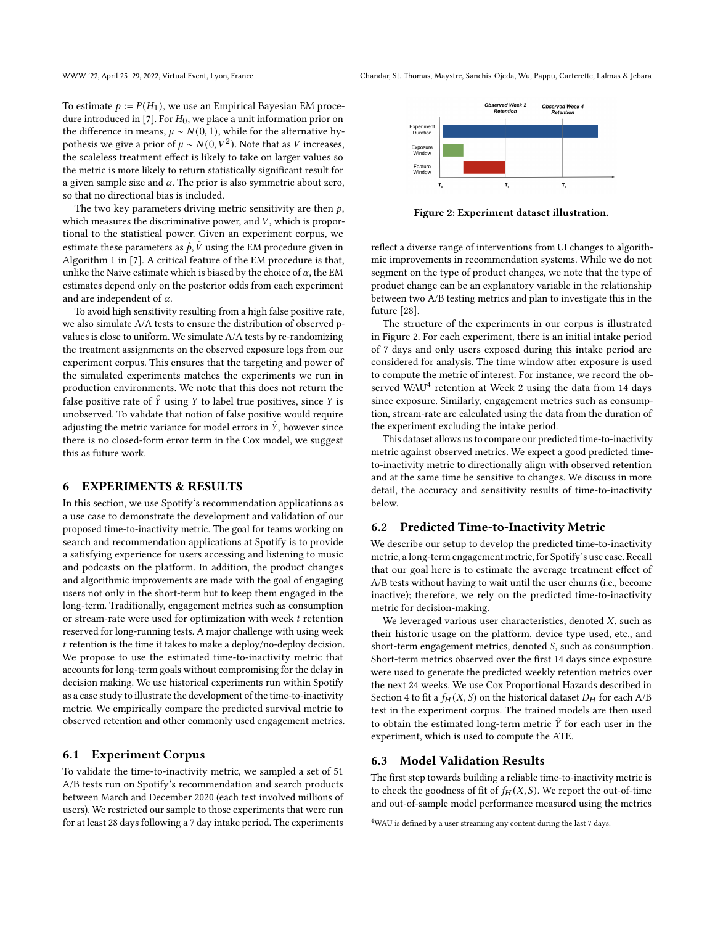To estimate  $p := P(H_1)$ , we use an Empirical Bayesian EM proce-dure introduced in [\[7\]](#page-8-30). For  $H_0$ , we place a unit information prior on the difference in means,  $\mu \sim N(0, 1)$ , while for the alternative hypothesis we give a prior of  $\mu \sim N(0, V^2)$ . Note that as  $V$  increases, the scaleless treatment effect is likely to take on larger values so the metric is more likely to return statistically significant result for a given sample size and  $\alpha$ . The prior is also symmetric about zero, so that no directional bias is included.

The two key parameters driving metric sensitivity are then  $p$ , which measures the discriminative power, and  $V$ , which is proportional to the statistical power. Given an experiment corpus, we estimate these parameters as  $\hat{p}, \hat{V}$  using the EM procedure given in Algorithm 1 in [\[7\]](#page-8-30). A critical feature of the EM procedure is that, unlike the Naive estimate which is biased by the choice of  $\alpha$ , the EM estimates depend only on the posterior odds from each experiment and are independent of  $\alpha$ .

To avoid high sensitivity resulting from a high false positive rate, we also simulate A/A tests to ensure the distribution of observed pvalues is close to uniform. We simulate A/A tests by re-randomizing the treatment assignments on the observed exposure logs from our experiment corpus. This ensures that the targeting and power of the simulated experiments matches the experiments we run in production environments. We note that this does not return the false positive rate of  $\hat{Y}$  using Y to label true positives, since Y is unobserved. To validate that notion of false positive would require adjusting the metric variance for model errors in  $\ddot{Y}$ , however since there is no closed-form error term in the Cox model, we suggest this as future work.

#### 6 EXPERIMENTS & RESULTS

In this section, we use Spotify's recommendation applications as a use case to demonstrate the development and validation of our proposed time-to-inactivity metric. The goal for teams working on search and recommendation applications at Spotify is to provide a satisfying experience for users accessing and listening to music and podcasts on the platform. In addition, the product changes and algorithmic improvements are made with the goal of engaging users not only in the short-term but to keep them engaged in the long-term. Traditionally, engagement metrics such as consumption or stream-rate were used for optimization with week  $t$  retention reserved for long-running tests. A major challenge with using week  $t$  retention is the time it takes to make a deploy/no-deploy decision. We propose to use the estimated time-to-inactivity metric that accounts for long-term goals without compromising for the delay in decision making. We use historical experiments run within Spotify as a case study to illustrate the development of the time-to-inactivity metric. We empirically compare the predicted survival metric to observed retention and other commonly used engagement metrics.

#### <span id="page-5-2"></span>6.1 Experiment Corpus

To validate the time-to-inactivity metric, we sampled a set of 51 A/B tests run on Spotify's recommendation and search products between March and December 2020 (each test involved millions of users). We restricted our sample to those experiments that were run for at least 28 days following a 7 day intake period. The experiments

<span id="page-5-0"></span>

Figure 2: Experiment dataset illustration.

reflect a diverse range of interventions from UI changes to algorithmic improvements in recommendation systems. While we do not segment on the type of product changes, we note that the type of product change can be an explanatory variable in the relationship between two A/B testing metrics and plan to investigate this in the future [\[28\]](#page-8-2).

The structure of the experiments in our corpus is illustrated in Figure [2.](#page-5-0) For each experiment, there is an initial intake period of 7 days and only users exposed during this intake period are considered for analysis. The time window after exposure is used to compute the metric of interest. For instance, we record the ob-served WAU<sup>[4](#page-5-1)</sup> retention at Week 2 using the data from 14 days since exposure. Similarly, engagement metrics such as consumption, stream-rate are calculated using the data from the duration of the experiment excluding the intake period.

This dataset allows us to compare our predicted time-to-inactivity metric against observed metrics. We expect a good predicted timeto-inactivity metric to directionally align with observed retention and at the same time be sensitive to changes. We discuss in more detail, the accuracy and sensitivity results of time-to-inactivity below.

#### 6.2 Predicted Time-to-Inactivity Metric

We describe our setup to develop the predicted time-to-inactivity metric, a long-term engagement metric, for Spotify's use case. Recall that our goal here is to estimate the average treatment effect of A/B tests without having to wait until the user churns (i.e., become inactive); therefore, we rely on the predicted time-to-inactivity metric for decision-making.

We leveraged various user characteristics, denoted  $X$ , such as their historic usage on the platform, device type used, etc., and short-term engagement metrics, denoted  $S$ , such as consumption. Short-term metrics observed over the first 14 days since exposure were used to generate the predicted weekly retention metrics over the next 24 weeks. We use Cox Proportional Hazards described in Section [4](#page-3-0) to fit a  $f_H(X, S)$  on the historical dataset  $D_H$  for each A/B test in the experiment corpus. The trained models are then used to obtain the estimated long-term metric  $\hat{Y}$  for each user in the experiment, which is used to compute the ATE.

#### 6.3 Model Validation Results

The first step towards building a reliable time-to-inactivity metric is to check the goodness of fit of  $f_H(X, S)$ . We report the out-of-time and out-of-sample model performance measured using the metrics

<span id="page-5-1"></span><sup>&</sup>lt;sup>4</sup>WAU is defined by a user streaming any content during the last 7 days.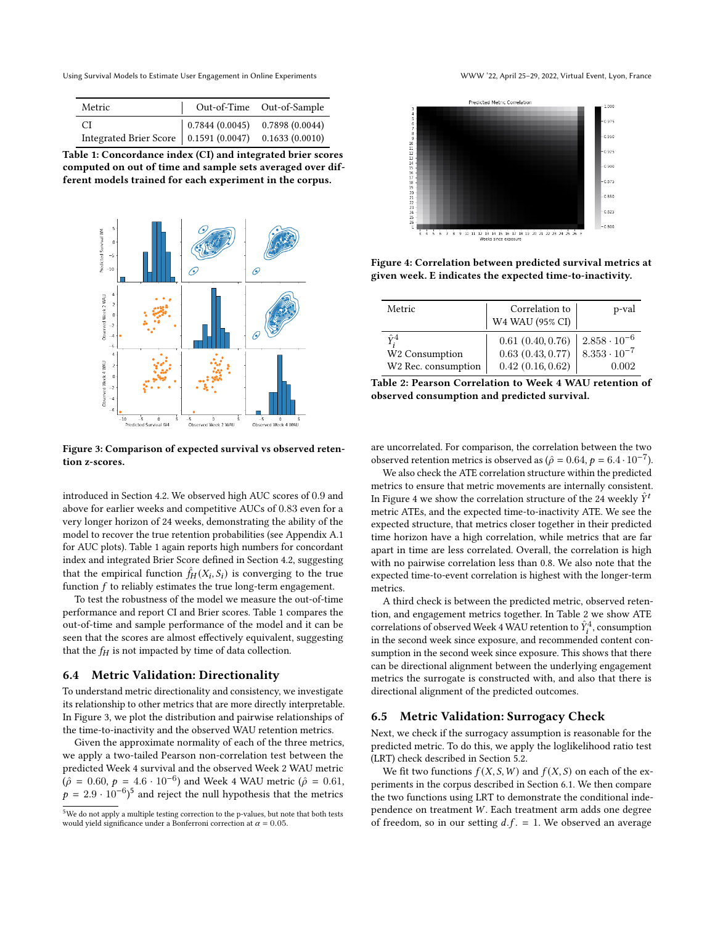Using Survival Models to Estimate User Engagement in Online Experiments WWW '22, April 25–29, 2022, Virtual Event, Lyon, France

<span id="page-6-0"></span>

| Metric                                                                                        | Out-of-Time Out-of-Sample |
|-----------------------------------------------------------------------------------------------|---------------------------|
| CI 10.7844 (0.0045) 0.7898 (0.0044)<br>Integrated Brier Score 0.1591 (0.0047) 0.1633 (0.0010) |                           |
|                                                                                               |                           |

Table 1: Concordance index (CI) and integrated brier scores computed on out of time and sample sets averaged over different models trained for each experiment in the corpus.

<span id="page-6-1"></span>

Figure 3: Comparison of expected survival vs observed retention z-scores.

introduced in Section [4.2.](#page-3-3) We observed high AUC scores of 0.9 and above for earlier weeks and competitive AUCs of 0.83 even for a very longer horizon of 24 weeks, demonstrating the ability of the model to recover the true retention probabilities (see Appendix [A.1](#page-8-39) for AUC plots). Table [1](#page-6-0) again reports high numbers for concordant index and integrated Brier Score defined in Section [4.2,](#page-3-3) suggesting that the empirical function  $\hat{f}_H(X_i, S_i)$  is converging to the true function  $f$  to reliably estimates the true long-term engagement.

To test the robustness of the model we measure the out-of-time performance and report CI and Brier scores. Table [1](#page-6-0) compares the out-of-time and sample performance of the model and it can be seen that the scores are almost effectively equivalent, suggesting that the  $f_H$  is not impacted by time of data collection.

#### 6.4 Metric Validation: Directionality

To understand metric directionality and consistency, we investigate its relationship to other metrics that are more directly interpretable. In Figure [3,](#page-6-1) we plot the distribution and pairwise relationships of the time-to-inactivity and the observed WAU retention metrics.

Given the approximate normality of each of the three metrics, we apply a two-tailed Pearson non-correlation test between the predicted Week 4 survival and the observed Week 2 WAU metric  $(\hat{\rho} = 0.60, p = 4.6 \cdot 10^{-6})$  and Week 4 WAU metric ( $\hat{\rho} = 0.61$ ,  $p = 2.9 \cdot 10^{-6}$ <sup>[5](#page-6-2)</sup> and reject the null hypothesis that the metrics

<span id="page-6-3"></span>

Figure 4: Correlation between predicted survival metrics at given week. E indicates the expected time-to-inactivity.

<span id="page-6-4"></span>

| Metric                     | Correlation to<br>W4 WAU (95% CI) | p-val                 |
|----------------------------|-----------------------------------|-----------------------|
| $\hat{\mathrm{v}}^{4}$     | 0.61(0.40, 0.76)                  | $2.858 \cdot 10^{-6}$ |
| W <sub>2</sub> Consumption | 0.63(0.43, 0.77)                  | $8.353 \cdot 10^{-7}$ |
| W2 Rec. consumption        | 0.42(0.16, 0.62)                  | 0.002                 |

Table 2: Pearson Correlation to Week 4 WAU retention of observed consumption and predicted survival.

are uncorrelated. For comparison, the correlation between the two observed retention metrics is observed as ( $\hat{\rho} = 0.64$ ,  $p = 6.4 \cdot 10^{-7}$ ).

We also check the ATE correlation structure within the predicted metrics to ensure that metric movements are internally consistent. In Figure [4](#page-6-3) we show the correlation structure of the 24 weekly  $\hat{Y}^t$ metric ATEs, and the expected time-to-inactivity ATE. We see the expected structure, that metrics closer together in their predicted time horizon have a high correlation, while metrics that are far apart in time are less correlated. Overall, the correlation is high with no pairwise correlation less than 0.8. We also note that the expected time-to-event correlation is highest with the longer-term metrics.

A third check is between the predicted metric, observed retention, and engagement metrics together. In Table [2](#page-6-4) we show ATE correlations of observed Week 4 WAU retention to  $\hat{Y}^4_i$ , consumption in the second week since exposure, and recommended content consumption in the second week since exposure. This shows that there can be directional alignment between the underlying engagement metrics the surrogate is constructed with, and also that there is directional alignment of the predicted outcomes.

#### 6.5 Metric Validation: Surrogacy Check

Next, we check if the surrogacy assumption is reasonable for the predicted metric. To do this, we apply the loglikelihood ratio test (LRT) check described in Section [5.2.](#page-4-0)

We fit two functions  $f(X, S, W)$  and  $f(X, S)$  on each of the experiments in the corpus described in Section [6.1.](#page-5-2) We then compare the two functions using LRT to demonstrate the conditional independence on treatment W. Each treatment arm adds one degree of freedom, so in our setting  $d.f. = 1$ . We observed an average

<span id="page-6-2"></span><sup>5</sup>We do not apply a multiple testing correction to the p-values, but note that both tests would yield significance under a Bonferroni correction at  $\alpha = 0.05$ .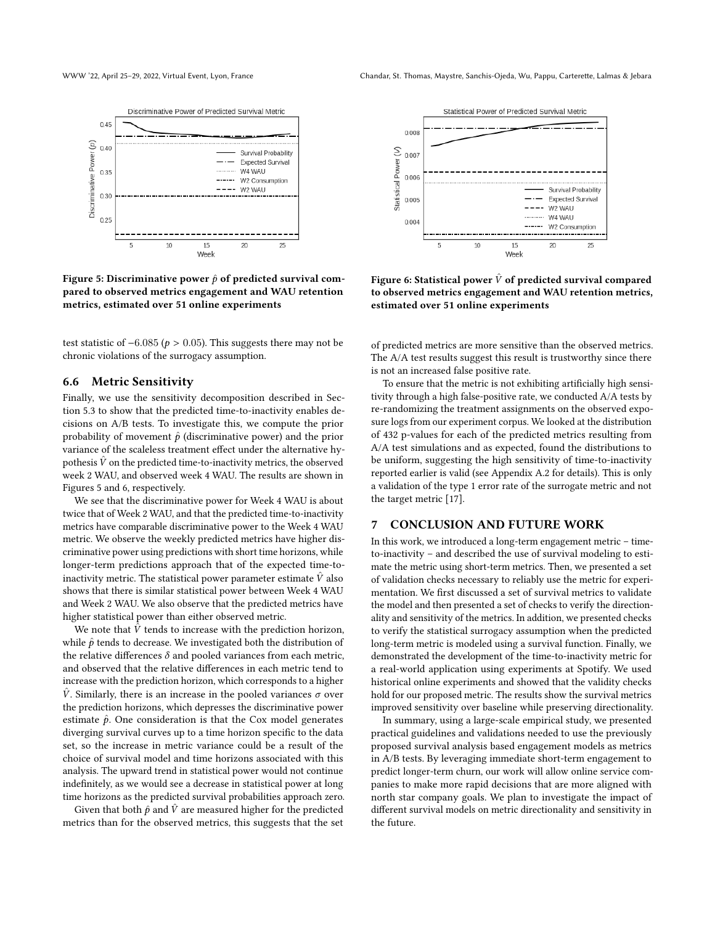<span id="page-7-0"></span>

Figure 5: Discriminative power  $\hat{p}$  of predicted survival compared to observed metrics engagement and WAU retention metrics, estimated over 51 online experiments

test statistic of  $-6.085$  ( $p > 0.05$ ). This suggests there may not be chronic violations of the surrogacy assumption.

#### 6.6 Metric Sensitivity

Finally, we use the sensitivity decomposition described in Section [5.3](#page-4-1) to show that the predicted time-to-inactivity enables decisions on A/B tests. To investigate this, we compute the prior probability of movement  $\hat{p}$  (discriminative power) and the prior variance of the scaleless treatment effect under the alternative hypothesis  $\hat{V}$  on the predicted time-to-inactivity metrics, the observed week 2 WAU, and observed week 4 WAU. The results are shown in Figures [5](#page-7-0) and [6,](#page-7-1) respectively.

We see that the discriminative power for Week 4 WAU is about twice that of Week 2 WAU, and that the predicted time-to-inactivity metrics have comparable discriminative power to the Week 4 WAU metric. We observe the weekly predicted metrics have higher discriminative power using predictions with short time horizons, while longer-term predictions approach that of the expected time-toinactivity metric. The statistical power parameter estimate  $\hat{V}$  also shows that there is similar statistical power between Week 4 WAU and Week 2 WAU. We also observe that the predicted metrics have higher statistical power than either observed metric.

We note that  $\hat{V}$  tends to increase with the prediction horizon, while  $\hat{p}$  tends to decrease. We investigated both the distribution of the relative differences  $\delta$  and pooled variances from each metric, and observed that the relative differences in each metric tend to increase with the prediction horizon, which corresponds to a higher  $\hat{V}$ . Similarly, there is an increase in the pooled variances  $\sigma$  over the prediction horizons, which depresses the discriminative power estimate  $\hat{p}$ . One consideration is that the Cox model generates diverging survival curves up to a time horizon specific to the data set, so the increase in metric variance could be a result of the choice of survival model and time horizons associated with this analysis. The upward trend in statistical power would not continue indefinitely, as we would see a decrease in statistical power at long time horizons as the predicted survival probabilities approach zero.

Given that both  $\hat{p}$  and  $\hat{V}$  are measured higher for the predicted metrics than for the observed metrics, this suggests that the set

<span id="page-7-1"></span>

Figure 6: Statistical power  $\hat{V}$  of predicted survival compared to observed metrics engagement and WAU retention metrics, estimated over 51 online experiments

of predicted metrics are more sensitive than the observed metrics. The A/A test results suggest this result is trustworthy since there is not an increased false positive rate.

To ensure that the metric is not exhibiting artificially high sensitivity through a high false-positive rate, we conducted A/A tests by re-randomizing the treatment assignments on the observed exposure logs from our experiment corpus. We looked at the distribution of 432 p-values for each of the predicted metrics resulting from A/A test simulations and as expected, found the distributions to be uniform, suggesting the high sensitivity of time-to-inactivity reported earlier is valid (see Appendix [A.2](#page-9-1) for details). This is only a validation of the type 1 error rate of the surrogate metric and not the target metric [\[17\]](#page-8-16).

#### 7 CONCLUSION AND FUTURE WORK

In this work, we introduced a long-term engagement metric – timeto-inactivity – and described the use of survival modeling to estimate the metric using short-term metrics. Then, we presented a set of validation checks necessary to reliably use the metric for experimentation. We first discussed a set of survival metrics to validate the model and then presented a set of checks to verify the directionality and sensitivity of the metrics. In addition, we presented checks to verify the statistical surrogacy assumption when the predicted long-term metric is modeled using a survival function. Finally, we demonstrated the development of the time-to-inactivity metric for a real-world application using experiments at Spotify. We used historical online experiments and showed that the validity checks hold for our proposed metric. The results show the survival metrics improved sensitivity over baseline while preserving directionality.

In summary, using a large-scale empirical study, we presented practical guidelines and validations needed to use the previously proposed survival analysis based engagement models as metrics in A/B tests. By leveraging immediate short-term engagement to predict longer-term churn, our work will allow online service companies to make more rapid decisions that are more aligned with north star company goals. We plan to investigate the impact of different survival models on metric directionality and sensitivity in the future.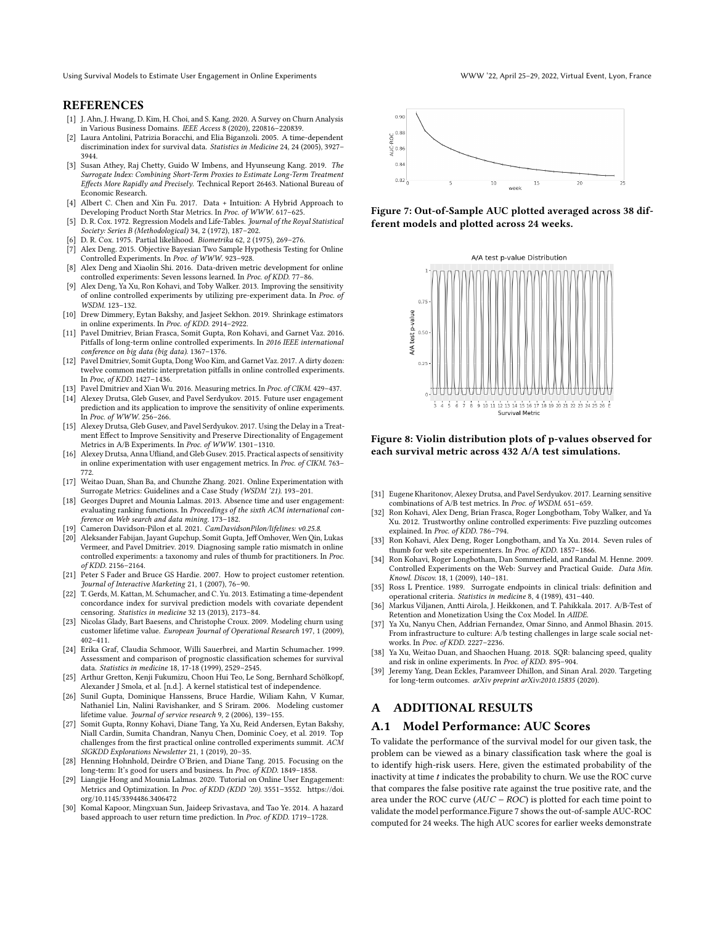Using Survival Models to Estimate User Engagement in Online Experiments WWW '22, April 25–29, 2022, Virtual Event, Lyon, France

#### **REFERENCES**

- <span id="page-8-32"></span>[1] J. Ahn, J. Hwang, D. Kim, H. Choi, and S. Kang. 2020. A Survey on Churn Analysis in Various Business Domains. IEEE Access 8 (2020), 220816–220839.
- <span id="page-8-35"></span>[2] Laura Antolini, Patrizia Boracchi, and Elia Biganzoli. 2005. A time-dependent discrimination index for survival data. Statistics in Medicine 24, 24 (2005), 3927– 3944.
- <span id="page-8-4"></span>Susan Athey, Raj Chetty, Guido W Imbens, and Hyunseung Kang. 2019. The Surrogate Index: Combining Short-Term Proxies to Estimate Long-Term Treatment Effects More Rapidly and Precisely. Technical Report 26463. National Bureau of Economic Research.
- <span id="page-8-5"></span>[4] Albert C. Chen and Xin Fu. 2017. Data + Intuition: A Hybrid Approach to Developing Product North Star Metrics. In Proc. of WWW. 617–625.
- <span id="page-8-33"></span>[5] D. R. Cox. 1972. Regression Models and Life-Tables. Journal of the Royal Statistical Society: Series B (Methodological) 34, 2 (1972), 187–202.
- <span id="page-8-31"></span>[6] D. R. Cox. 1975. Partial likelihood. Biometrika 62, 2 (1975), 269–276.
- <span id="page-8-30"></span>[7] Alex Deng. 2015. Objective Bayesian Two Sample Hypothesis Testing for Online Controlled Experiments. In Proc. of WWW. 923–928.
- <span id="page-8-17"></span>[8] Alex Deng and Xiaolin Shi. 2016. Data-driven metric development for online controlled experiments: Seven lessons learned. In Proc. of KDD. 77-86.
- <span id="page-8-25"></span>[9] Alex Deng, Ya Xu, Ron Kohavi, and Toby Walker. 2013. Improving the sensitivity of online controlled experiments by utilizing pre-experiment data. In Proc. of WSDM. 123–132.
- <span id="page-8-28"></span>[10] Drew Dimmery, Eytan Bakshy, and Jasjeet Sekhon. 2019. Shrinkage estimators in online experiments. In Proc. of KDD. 2914–2922.
- <span id="page-8-22"></span>[11] Pavel Dmitriev, Brian Frasca, Somit Gupta, Ron Kohavi, and Garnet Vaz. 2016. Pitfalls of long-term online controlled experiments. In 2016 IEEE international conference on big data (big data). 1367–1376.
- <span id="page-8-18"></span>[12] Pavel Dmitriev, Somit Gupta, Dong Woo Kim, and Garnet Vaz. 2017. A dirty dozen: twelve common metric interpretation pitfalls in online controlled experiments. In Proc, of KDD. 1427–1436.
- <span id="page-8-23"></span>[13] Pavel Dmitriev and Xian Wu. 2016. Measuring metrics. In Proc. of CIKM. 429–437.
- <span id="page-8-26"></span>[14] Alexey Drutsa, Gleb Gusev, and Pavel Serdyukov. 2015. Future user engagement prediction and its application to improve the sensitivity of online experiments. In Proc. of WWW. 256–266.
- <span id="page-8-29"></span>[15] Alexey Drutsa, Gleb Gusev, and Pavel Serdyukov. 2017. Using the Delay in a Treatment Effect to Improve Sensitivity and Preserve Directionality of Engagement Metrics in A/B Experiments. In Proc. of WWW. 1301–1310.
- <span id="page-8-1"></span>[16] Alexey Drutsa, Anna Ufliand, and Gleb Gusey. 2015. Practical aspects of sensitivity in online experimentation with user engagement metrics. In Proc. of CIKM. 763– 772.
- <span id="page-8-16"></span>[17] Weitao Duan, Shan Ba, and Chunzhe Zhang. 2021. Online Experimentation with Surrogate Metrics: Guidelines and a Case Study (WSDM '21). 193–201.
- <span id="page-8-7"></span>[18] Georges Dupret and Mounia Lalmas. 2013. Absence time and user engagement: evaluating ranking functions. In Proceedings of the sixth ACM international con-
- <span id="page-8-34"></span>ference on Web search and data mining. 173–182. [19] Cameron Davidson-Pilon et al. 2021. CamDavidsonPilon/lifelines: v0.25.8.
- <span id="page-8-20"></span>[20] Aleksander Fabijan, Jayant Gupchup, Somit Gupta, Jeff Omhover, Wen Qin, Lukas Vermeer, and Pavel Dmitriev. 2019. Diagnosing sample ratio mismatch in online controlled experiments: a taxonomy and rules of thumb for practitioners. In Proc. of KDD. 2156–2164.
- <span id="page-8-10"></span>[21] Peter S Fader and Bruce GS Hardie. 2007. How to project customer retention. Journal of Interactive Marketing 21, 1 (2007), 76–90.
- <span id="page-8-36"></span>[22] T. Gerds, M. Kattan, M. Schumacher, and C. Yu. 2013. Estimating a time-dependent concordance index for survival prediction models with covariate dependent censoring. Statistics in medicine 32 13 (2013), 2173–84.
- <span id="page-8-9"></span>[23] Nicolas Glady, Bart Baesens, and Christophe Croux. 2009. Modeling churn using customer lifetime value. European Journal of Operational Research 197, 1 (2009), 402–411.
- <span id="page-8-37"></span>[24] Erika Graf, Claudia Schmoor, Willi Sauerbrei, and Martin Schumacher. 1999. Assessment and comparison of prognostic classification schemes for survival data. Statistics in medicine 18, 17-18 (1999), 2529–2545.
- <span id="page-8-38"></span>[25] Arthur Gretton, Kenji Fukumizu, Choon Hui Teo, Le Song, Bernhard Schölkopf, Alexander J Smola, et al. [n.d.]. A kernel statistical test of independence.
- <span id="page-8-11"></span>[26] Sunil Gupta, Dominique Hanssens, Bruce Hardie, Wiliam Kahn, V Kumar, Nathaniel Lin, Nalini Ravishanker, and S Sriram. 2006. Modeling customer lifetime value. Journal of service research 9, 2 (2006), 139–155.
- <span id="page-8-13"></span>[27] Somit Gupta, Ronny Kohavi, Diane Tang, Ya Xu, Reid Andersen, Eytan Bakshy, Niall Cardin, Sumita Chandran, Nanyu Chen, Dominic Coey, et al. 2019. Top challenges from the first practical online controlled experiments summit. ACM SIGKDD Explorations Newsletter 21, 1 (2019), 20–35.
- <span id="page-8-2"></span>[28] Henning Hohnhold, Deirdre O'Brien, and Diane Tang. 2015. Focusing on the long-term: It's good for users and business. In Proc. of KDD. 1849–1858.
- <span id="page-8-6"></span>[29] Liangjie Hong and Mounia Lalmas. 2020. Tutorial on Online User Engagement: Metrics and Optimization. In Proc. of KDD (KDD '20). 3551–3552. [https://doi.](https://doi.org/10.1145/3394486.3406472) [org/10.1145/3394486.3406472](https://doi.org/10.1145/3394486.3406472)
- <span id="page-8-8"></span>[30] Komal Kapoor, Mingxuan Sun, Jaideep Srivastava, and Tao Ye. 2014. A hazard based approach to user return time prediction. In Proc. of KDD. 1719–1728.

<span id="page-8-40"></span>

Figure 7: Out-of-Sample AUC plotted averaged across 38 different models and plotted across 24 weeks.

<span id="page-8-41"></span>

Figure 8: Violin distribution plots of p-values observed for each survival metric across 432 A/A test simulations.

- <span id="page-8-27"></span>[31] Eugene Kharitonov, Alexey Drutsa, and Pavel Serdyukov. 2017. Learning sensitive combinations of A/B test metrics. In Proc. of WSDM. 651–659.
- <span id="page-8-3"></span>[32] Ron Kohavi, Alex Deng, Brian Frasca, Roger Longbotham, Toby Walker, and Ya Xu. 2012. Trustworthy online controlled experiments: Five puzzling outcomes explained. In Proc. of KDD. 786–794.
- <span id="page-8-24"></span>[33] Ron Kohavi, Alex Deng, Roger Longbotham, and Ya Xu. 2014. Seven rules of thumb for web site experimenters. In Proc. of KDD. 1857–1866.
- <span id="page-8-0"></span>[34] Ron Kohavi, Roger Longbotham, Dan Sommerfield, and Randal M. Henne. 2009. Controlled Experiments on the Web: Survey and Practical Guide. Data Min. Knowl. Discov. 18, 1 (2009), 140–181.
- <span id="page-8-14"></span>[35] Ross L Prentice. 1989. Surrogate endpoints in clinical trials: definition and operational criteria. Statistics in medicine 8, 4 (1989), 431–440.
- <span id="page-8-12"></span>[36] Markus Viljanen, Antti Airola, J. Heikkonen, and T. Pahikkala. 2017. A/B-Test of Retention and Monetization Using the Cox Model. In AIIDE.
- <span id="page-8-19"></span>[37] Ya Xu, Nanyu Chen, Addrian Fernandez, Omar Sinno, and Anmol Bhasin. 2015. From infrastructure to culture: A/b testing challenges in large scale social networks. In Proc. of KDD. 2227–2236.
- <span id="page-8-21"></span>[38] Ya Xu, Weitao Duan, and Shaochen Huang. 2018. SQR: balancing speed, quality and risk in online experiments. In Proc. of KDD. 895–904.
- <span id="page-8-15"></span>[39] Jeremy Yang, Dean Eckles, Paramveer Dhillon, and Sinan Aral. 2020. Targeting for long-term outcomes. arXiv preprint arXiv:2010.15835 (2020).

#### A ADDITIONAL RESULTS

#### <span id="page-8-39"></span>A.1 Model Performance: AUC Scores

To validate the performance of the survival model for our given task, the problem can be viewed as a binary classification task where the goal is to identify high-risk users. Here, given the estimated probability of the inactivity at time  $t$  indicates the probability to churn. We use the ROC curve that compares the false positive rate against the true positive rate, and the area under the ROC curve ( $AUC - ROC$ ) is plotted for each time point to validate the model performance.Figure [7](#page-8-40) shows the out-of-sample AUC-ROC computed for 24 weeks. The high AUC scores for earlier weeks demonstrate